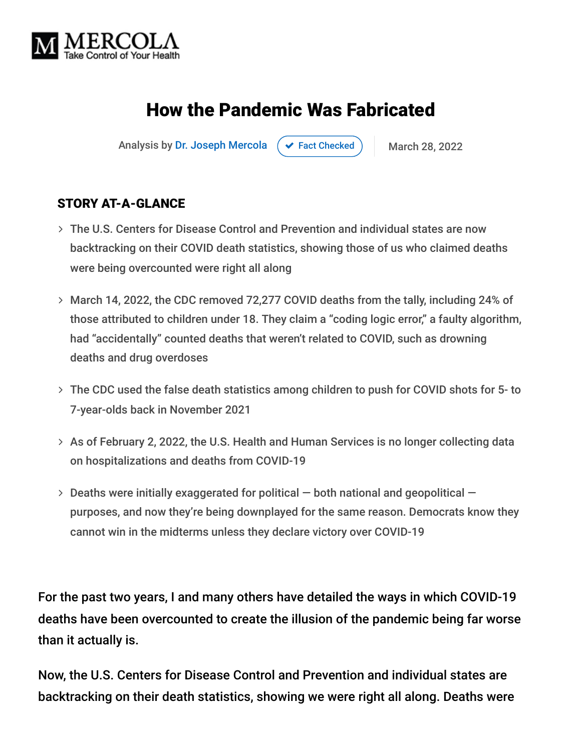

# How the Pandemic Was Fabricated

Analysis by [Dr. Joseph Mercola](https://www.mercola.com/forms/background.htm)  $\rightarrow$  [Fact Checked](javascript:void(0)) March 28, 2022

#### STORY AT-A-GLANCE

- The U.S. Centers for Disease Control and Prevention and individual states are now backtracking on their COVID death statistics, showing those of us who claimed deaths were being overcounted were right all along
- March 14, 2022, the CDC removed 72,277 COVID deaths from the tally, including 24% of those attributed to children under 18. They claim a "coding logic error," a faulty algorithm, had "accidentally" counted deaths that weren't related to COVID, such as drowning deaths and drug overdoses
- The CDC used the false death statistics among children to push for COVID shots for 5- to 7-year-olds back in November 2021
- > As of February 2, 2022, the U.S. Health and Human Services is no longer collecting data on hospitalizations and deaths from COVID-19
- $>$  Deaths were initially exaggerated for political  $-$  both national and geopolitical  $$ purposes, and now they're being downplayed for the same reason. Democrats know they cannot win in the midterms unless they declare victory over COVID-19

For the past two years, I and many others have detailed the ways in which COVID-19 deaths have been overcounted to create the illusion of the pandemic being far worse than it actually is.

Now, the U.S. Centers for Disease Control and Prevention and individual states are backtracking on their death statistics, showing we were right all along. Deaths were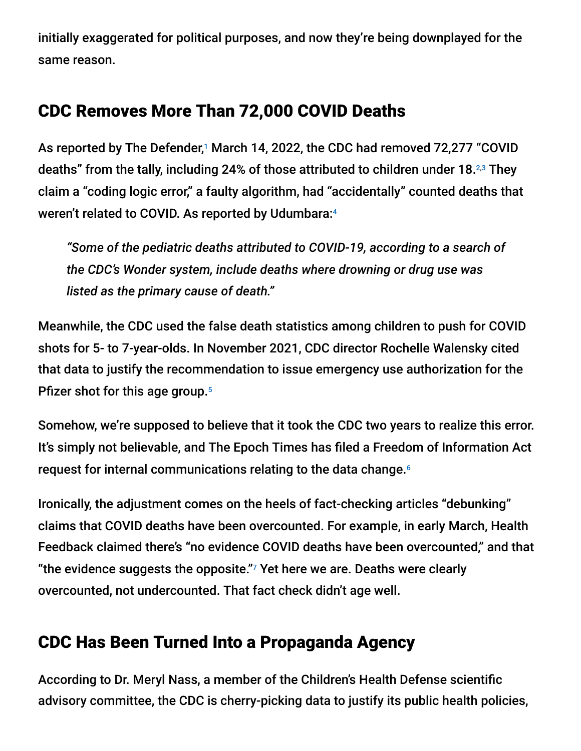initially exaggerated for political purposes, and now they're being downplayed for the same reason.

### CDC Removes More Than 72,000 COVID Deaths

As reported by The Defender,<sup>1</sup> March 14, 2022, the CDC had removed 72,277 "COVID deaths" from the tally, including 24% of those attributed to children under 18. $^{2,3}$  They claim a "coding logic error," a faulty algorithm, had "accidentally" counted deaths that weren't related to COVID. As reported by Udumbara: 4

*"Some of the pediatric deaths attributed to COVID-19, according to a search of the CDC's Wonder system, include deaths where drowning or drug use was listed as the primary cause of death."*

Meanwhile, the CDC used the false death statistics among children to push for COVID shots for 5- to 7-year-olds. In November 2021, CDC director Rochelle Walensky cited that data to justify the recommendation to issue emergency use authorization for the Pfizer shot for this age group. 5

Somehow, we're supposed to believe that it took the CDC two years to realize this error. It's simply not believable, and The Epoch Times has filed a Freedom of Information Act request for internal communications relating to the data change. 6

Ironically, the adjustment comes on the heels of fact-checking articles "debunking" claims that COVID deaths have been overcounted. For example, in early March, Health Feedback claimed there's "no evidence COVID deaths have been overcounted," and that "the evidence suggests the opposite." $7$  Yet here we are. Deaths were clearly overcounted, not undercounted. That fact check didn't age well.

#### CDC Has Been Turned Into a Propaganda Agency

According to Dr. Meryl Nass, a member of the Children's Health Defense scientific advisory committee, the CDC is cherry-picking data to justify its public health policies,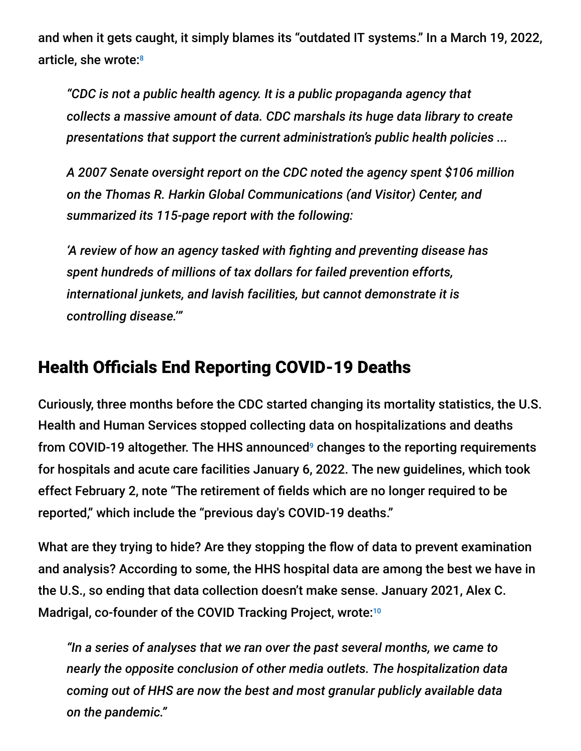and when it gets caught, it simply blames its "outdated IT systems." In a March 19, 2022, article, she wrote: 8

*"CDC is not a public health agency. It is a public propaganda agency that collects a massive amount of data. CDC marshals its huge data library to create presentations that support the current administration's public health policies ...*

*A 2007 Senate oversight report on the CDC noted the agency spent \$106 million on the Thomas R. Harkin Global Communications (and Visitor) Center, and summarized its 115-page report with the following:*

*'A review of how an agency tasked with fighting and preventing disease has spent hundreds of millions of tax dollars for failed prevention efforts, international junkets, and lavish facilities, but cannot demonstrate it is controlling disease.'"*

#### Health Officials End Reporting COVID-19 Deaths

Curiously, three months before the CDC started changing its mortality statistics, the U.S. Health and Human Services stopped collecting data on hospitalizations and deaths from COVID-19 altogether. The HHS announced<sup>9</sup> changes to the reporting requirements for hospitals and acute care facilities January 6, 2022. The new guidelines, which took effect February 2, note "The retirement of fields which are no longer required to be reported," which include the "previous day's COVID-19 deaths."

What are they trying to hide? Are they stopping the flow of data to prevent examination and analysis? According to some, the HHS hospital data are among the best we have in the U.S., so ending that data collection doesn't make sense. January 2021, Alex C. Madrigal, co-founder of the COVID Tracking Project, wrote:<sup>10</sup>

*"In a series of analyses that we ran over the past several months, we came to nearly the opposite conclusion of other media outlets. The hospitalization data coming out of HHS are now the best and most granular publicly available data on the pandemic."*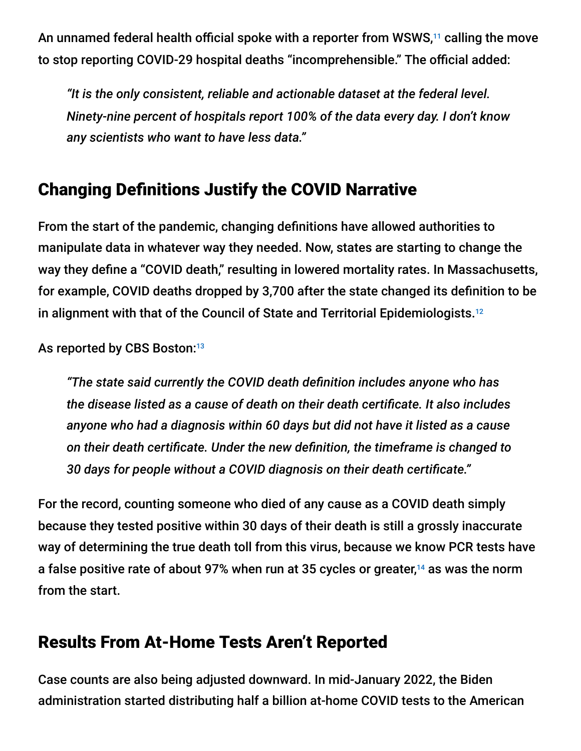An unnamed federal health official spoke with a reporter from WSWS,<sup>11</sup> calling the move to stop reporting COVID-29 hospital deaths "incomprehensible." The official added:

*"It is the only consistent, reliable and actionable dataset at the federal level. Ninety-nine percent of hospitals report 100% of the data every day. I don't know any scientists who want to have less data."*

## Changing Definitions Justify the COVID Narrative

From the start of the pandemic, changing definitions have allowed authorities to manipulate data in whatever way they needed. Now, states are starting to change the way they define a "COVID death," resulting in lowered mortality rates. In Massachusetts, for example, COVID deaths dropped by 3,700 after the state changed its definition to be in alignment with that of the Council of State and Territorial Epidemiologists. 12

As reported by CBS Boston:<sup>13</sup>

*"The state said currently the COVID death definition includes anyone who has the disease listed as a cause of death on their death certificate. It also includes anyone who had a diagnosis within 60 days but did not have it listed as a cause on their death certificate. Under the new definition, the timeframe is changed to 30 days for people without a COVID diagnosis on their death certificate."*

For the record, counting someone who died of any cause as a COVID death simply because they tested positive within 30 days of their death is still a grossly inaccurate way of determining the true death toll from this virus, because we know PCR tests have a false positive rate of about 97% when run at 35 cycles or greater, $^{14}$  as was the norm from the start.

#### Results From At-Home Tests Aren't Reported

Case counts are also being adjusted downward. In mid-January 2022, the Biden administration started distributing half a billion at-home COVID tests to the American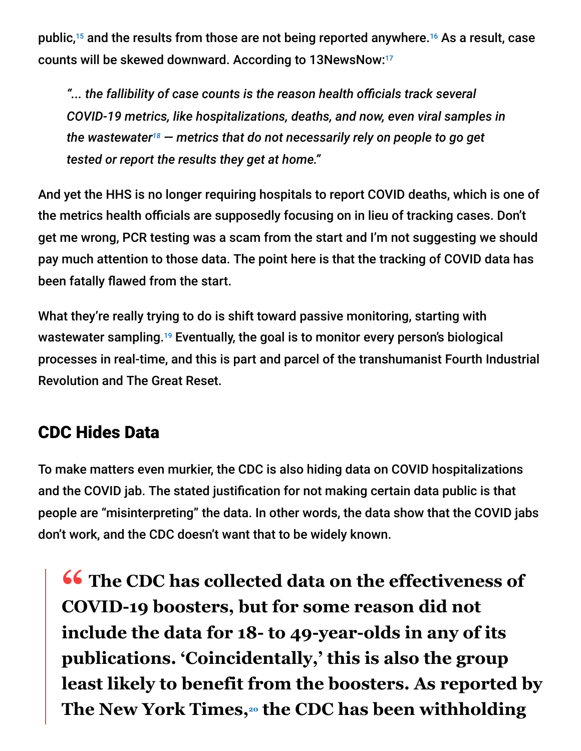public,<sup>15</sup> and the results from those are not being reported anywhere.<sup>16</sup> As a result, case counts will be skewed downward. According to 13NewsNow: 17

*"... the fallibility of case counts is the reason health officials track several COVID-19 metrics, like hospitalizations, deaths, and now, even viral samples in the wastewater — metrics that do not necessarily rely on people to go get 18 tested or report the results they get at home."*

And yet the HHS is no longer requiring hospitals to report COVID deaths, which is one of the metrics health officials are supposedly focusing on in lieu of tracking cases. Don't get me wrong, PCR testing was a scam from the start and I'm not suggesting we should pay much attention to those data. The point here is that the tracking of COVID data has been fatally flawed from the start.

What they're really trying to do is shift toward passive monitoring, starting with wastewater sampling.<sup>19</sup> Eventually, the goal is to monitor every person's biological processes in real-time, and this is part and parcel of the transhumanist Fourth Industrial Revolution and The Great Reset.

### CDC Hides Data

To make matters even murkier, the CDC is also hiding data on COVID hospitalizations and the COVID jab. The stated justification for not making certain data public is that people are "misinterpreting" the data. In other words, the data show that the COVID jabs don't work, and the CDC doesn't want that to be widely known.

**<sup>66</sup>** The CDC has collected data on the effectiveness of COVID-10 boosters but for some reason did not **COVID-19 boosters, but for some reason did not include the data for 18- to 49-year-olds in any of its publications. 'Coincidentally,' this is also the group least likely to benefit from the boosters. As reported by** The New York Times,<sup>20</sup> the CDC has been withholding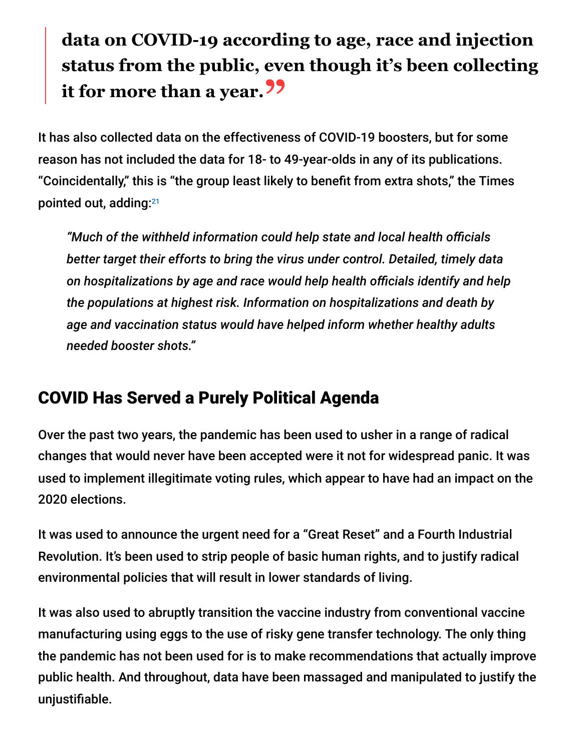# **data on COVID-19 according to age, race and injection status from the public, even though it's been collecting it for more than a year."**

It has also collected data on the effectiveness of COVID-19 boosters, but for some reason has not included the data for 18- to 49-year-olds in any of its publications. "Coincidentally," this is "the group least likely to benefit from extra shots," the Times pointed out, adding: 21

*"Much of the withheld information could help state and local health officials better target their efforts to bring the virus under control. Detailed, timely data on hospitalizations by age and race would help health officials identify and help the populations at highest risk. Information on hospitalizations and death by age and vaccination status would have helped inform whether healthy adults needed booster shots."*

#### COVID Has Served a Purely Political Agenda

Over the past two years, the pandemic has been used to usher in a range of radical changes that would never have been accepted were it not for widespread panic. It was used to implement illegitimate voting rules, which appear to have had an impact on the 2020 elections.

It was used to announce the urgent need for a "Great Reset" and a Fourth Industrial Revolution. It's been used to strip people of basic human rights, and to justify radical environmental policies that will result in lower standards of living.

It was also used to abruptly transition the vaccine industry from conventional vaccine manufacturing using eggs to the use of risky gene transfer technology. The only thing the pandemic has not been used for is to make recommendations that actually improve public health. And throughout, data have been massaged and manipulated to justify the unjustifiable.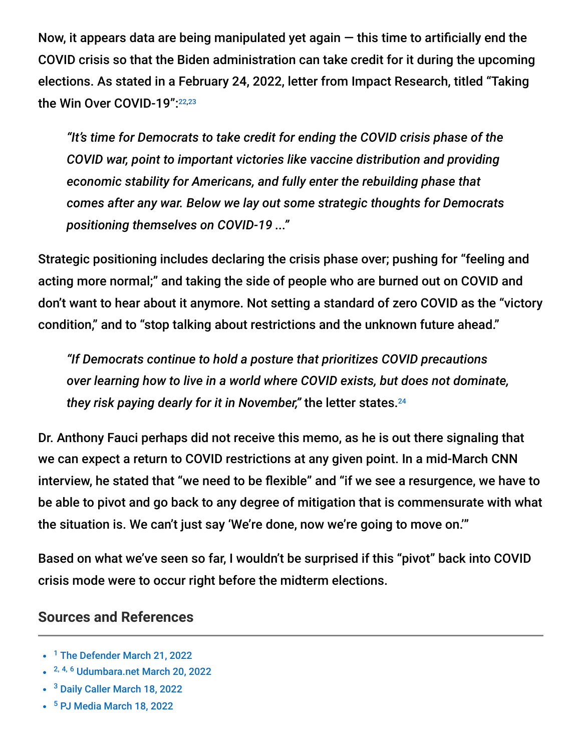Now, it appears data are being manipulated yet again  $-$  this time to artificially end the COVID crisis so that the Biden administration can take credit for it during the upcoming elections. As stated in a February 24, 2022, letter from Impact Research, titled "Taking the Win Over COVID-19": 22,23

*"It's time for Democrats to take credit for ending the COVID crisis phase of the COVID war, point to important victories like vaccine distribution and providing economic stability for Americans, and fully enter the rebuilding phase that comes after any war. Below we lay out some strategic thoughts for Democrats positioning themselves on COVID-19 ..."*

Strategic positioning includes declaring the crisis phase over; pushing for "feeling and acting more normal;" and taking the side of people who are burned out on COVID and don't want to hear about it anymore. Not setting a standard of zero COVID as the "victory condition," and to "stop talking about restrictions and the unknown future ahead."

*"If Democrats continue to hold a posture that prioritizes COVID precautions over learning how to live in a world where COVID exists, but does not dominate, they risk paying dearly for it in November,"* the letter states. 24

Dr. Anthony Fauci perhaps did not receive this memo, as he is out there signaling that we can expect a return to COVID restrictions at any given point. In a mid-March CNN interview, he stated that "we need to be flexible" and "if we see a resurgence, we have to be able to pivot and go back to any degree of mitigation that is commensurate with what the situation is. We can't just say 'We're done, now we're going to move on.'"

Based on what we've seen so far, I wouldn't be surprised if this "pivot" back into COVID crisis mode were to occur right before the midterm elections.

#### **Sources and References**

- <sup>1</sup> [The Defender March 21, 2022](https://childrenshealthdefense.org/defender/cdc-removes-tens-of-thousands-deaths-covid/)
- <sup>2, 4, 6</sup> [Udumbara.net March 20, 2022](https://udumbara.net/cdc-responds-after-reporting-fewer-covid-19-pediatric-deaths)
- <sup>3</sup> [Daily Caller March 18, 2022](https://dailycaller.com/2022/03/18/cdc-data-kids-pediatric-covid-coronavirus-deaths/)
- <sup>5</sup> [PJ Media March 18, 2022](https://pjmedia.com/news-and-politics/kevindowneyjr/2022/03/18/well-well-well-cdc-slashes-24-of-child-covid-deaths-after-they-advised-vax-for-kids-n1567618)